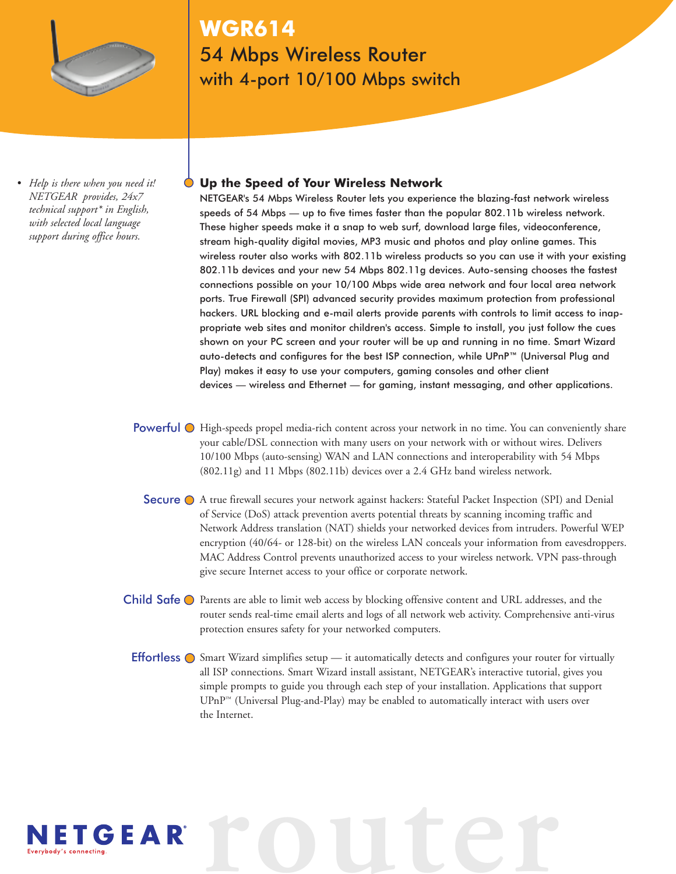

## **WGR614** 54 Mbps Wireless Router with 4-port 10/100 Mbps switch

*• Help is there when you need it! NETGEAR provides, 24x7 technical support\* in English, with selected local language support during office hours.*

### **Up the Speed of Your Wireless Network**

NETGEAR's 54 Mbps Wireless Router lets you experience the blazing-fast network wireless speeds of 54 Mbps — up to five times faster than the popular 802.11b wireless network. These higher speeds make it a snap to web surf, download large files, videoconference, stream high-quality digital movies, MP3 music and photos and play online games. This wireless router also works with 802.11b wireless products so you can use it with your existing 802.11b devices and your new 54 Mbps 802.11g devices. Auto-sensing chooses the fastest connections possible on your 10/100 Mbps wide area network and four local area network ports. True Firewall (SPI) advanced security provides maximum protection from professional hackers. URL blocking and e-mail alerts provide parents with controls to limit access to inappropriate web sites and monitor children's access. Simple to install, you just follow the cues shown on your PC screen and your router will be up and running in no time. Smart Wizard auto-detects and configures for the best ISP connection, while UPnP™ (Universal Plug and Play) makes it easy to use your computers, gaming consoles and other client devices — wireless and Ethernet — for gaming, instant messaging, and other applications.

- Powerful  $\odot$  High-speeds propel media-rich content across your network in no time. You can conveniently share your cable/DSL connection with many users on your network with or without wires. Delivers 10/100 Mbps (auto-sensing) WAN and LAN connections and interoperability with 54 Mbps (802.11g) and 11 Mbps (802.11b) devices over a 2.4 GHz band wireless network.
	- Secure  $\bigcirc$  A true firewall secures your network against hackers: Stateful Packet Inspection (SPI) and Denial of Service (DoS) attack prevention averts potential threats by scanning incoming traffic and Network Address translation (NAT) shields your networked devices from intruders. Powerful WEP encryption (40/64- or 128-bit) on the wireless LAN conceals your information from eavesdroppers. MAC Address Control prevents unauthorized access to your wireless network. VPN pass-through give secure Internet access to your office or corporate network.
- Child Safe  $\bigcirc$  Parents are able to limit web access by blocking offensive content and URL addresses, and the router sends real-time email alerts and logs of all network web activity. Comprehensive anti-virus protection ensures safety for your networked computers.
	- **Effortless**  $\bigcirc$  Smart Wizard simplifies setup  $\equiv$  it automatically detects and configures your router for virtually all ISP connections. Smart Wizard install assistant, NETGEAR's interactive tutorial, gives you simple prompts to guide you through each step of your installation. Applications that support  $\text{UPnP}^{\text{m}}$  (Universal Plug-and-Play) may be enabled to automatically interact with users over the Internet.

**router**